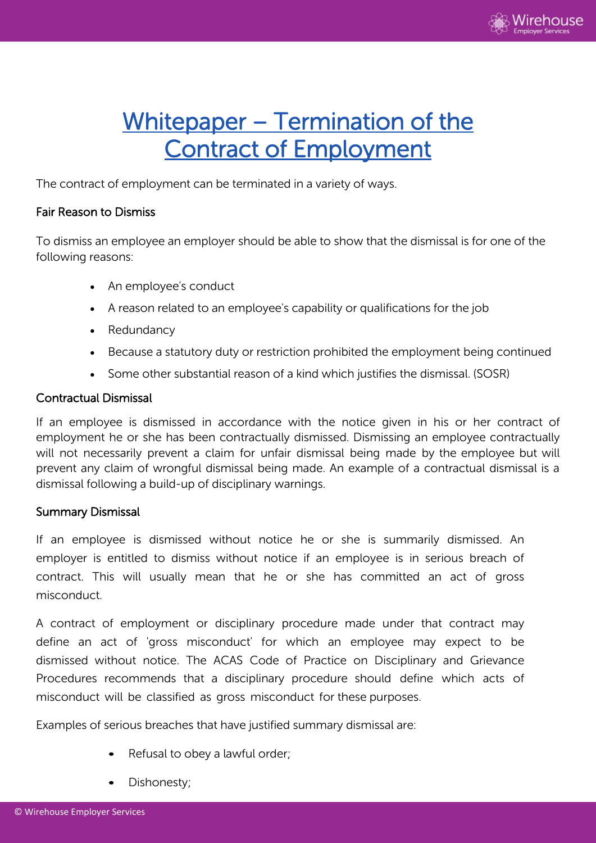

# Whitepaper – Termination of the Contract of Employment

The contract of employment can be terminated in a variety of ways.

#### Fair Reason to Dismiss

To dismiss an employee an employer should be able to show that the dismissal is for one of the following reasons:

- An employee's conduct
- A reason related to an employee's capability or qualifications for the job
- Redundancy
- Because a statutory duty or restriction prohibited the employment being continued
- Some other substantial reason of a kind which justifies the dismissal. (SOSR)

# Contractual Dismissal

If an employee is dismissed in accordance with the notice given in his or her contract of employment he or she has been contractually dismissed. Dismissing an employee contractually will not necessarily prevent a claim for unfair dismissal being made by the employee but will prevent any claim of wrongful dismissal being made. An example of a contractual dismissal is a dismissal following a build-up of disciplinary warnings.

# Summary Dismissal

If an employee is dismissed without notice he or she is summarily dismissed. An employer is entitled to dismiss without notice if an employee is in serious breach of contract. This will usually mean that he or she has committed an act of gross misconduct.

A contract of employment or disciplinary procedure made under that contract may define an act of 'gross misconduct' for which an employee may expect to be dismissed without notice. The ACAS Code of Practice on Disciplinary and Grievance Procedures recommends that a disciplinary procedure should define which acts of misconduct will be classified as gross misconduct for these purposes.

Examples of serious breaches that have justified summary dismissal are:

- Refusal to obey a lawful order;
- Dishonesty;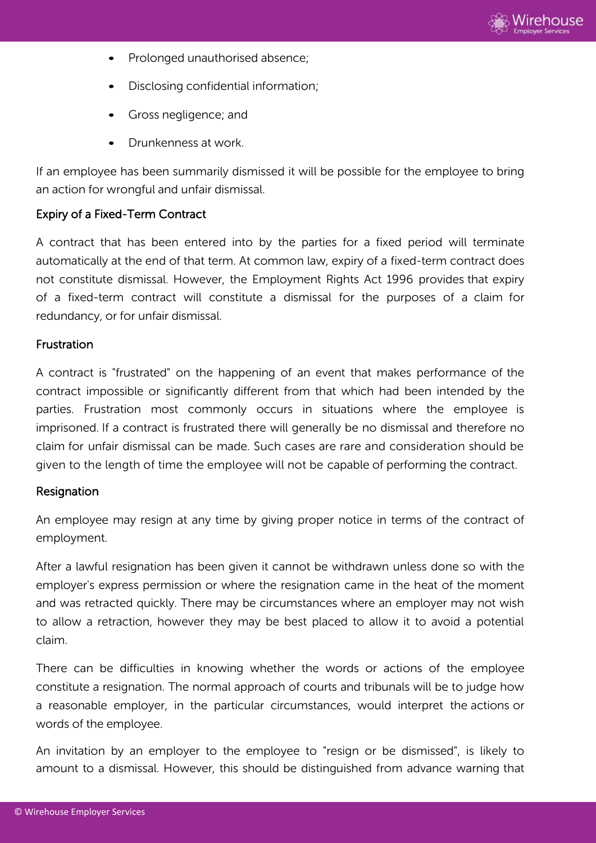

- Prolonged unauthorised absence;
- Disclosing confidential information;
- Gross negligence; and
- Drunkenness at work.

If an employee has been summarily dismissed it will be possible for the employee to bring an action for wrongful and unfair dismissal.

# Expiry of a Fixed-Term Contract

A contract that has been entered into by the parties for a fixed period will terminate automatically at the end of that term. At common law, expiry of a fixed-term contract does not constitute dismissal. However, the Employment Rights Act 1996 provides that expiry of a fixed-term contract will constitute a dismissal for the purposes of a claim for redundancy, or for unfair dismissal.

#### Frustration

A contract is "frustrated" on the happening of an event that makes performance of the contract impossible or significantly different from that which had been intended by the parties. Frustration most commonly occurs in situations where the employee is imprisoned. If a contract is frustrated there will generally be no dismissal and therefore no claim for unfair dismissal can be made. Such cases are rare and consideration should be given to the length of time the employee will not be capable of performing the contract.

# **Resignation**

An employee may resign at any time by giving proper notice in terms of the contract of employment.

After a lawful resignation has been given it cannot be withdrawn unless done so with the employer's express permission or where the resignation came in the heat of the moment and was retracted quickly. There may be circumstances where an employer may not wish to allow a retraction, however they may be best placed to allow it to avoid a potential claim.

There can be difficulties in knowing whether the words or actions of the employee constitute a resignation. The normal approach of courts and tribunals will be to judge how a reasonable employer, in the particular circumstances, would interpret the actions or words of the employee.

An invitation by an employer to the employee to "resign or be dismissed", is likely to amount to a dismissal. However, this should be distinguished from advance warning that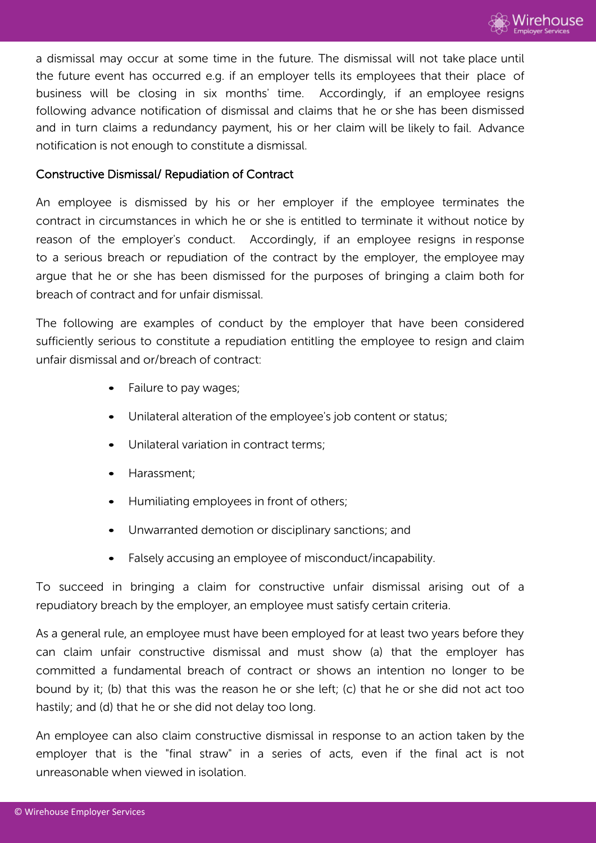

a dismissal may occur at some time in the future. The dismissal will not take place until the future event has occurred e.g. if an employer tells its employees that their place of business will be closing in six months' time. Accordingly, if an employee resigns following advance notification of dismissal and claims that he or she has been dismissed and in turn claims a redundancy payment, his or her claim will be likely to fail. Advance notification is not enough to constitute a dismissal.

### Constructive Dismissal/ Repudiation of Contract

An employee is dismissed by his or her employer if the employee terminates the contract in circumstances in which he or she is entitled to terminate it without notice by reason of the employer's conduct. Accordingly, if an employee resigns in response to a serious breach or repudiation of the contract by the employer, the employee may argue that he or she has been dismissed for the purposes of bringing a claim both for breach of contract and for unfair dismissal.

The following are examples of conduct by the employer that have been considered sufficiently serious to constitute a repudiation entitling the employee to resign and claim unfair dismissal and or/breach of contract:

- Failure to pay wages;
- Unilateral alteration of the employee's job content or status;
- Unilateral variation in contract terms:
- Harassment;
- Humiliating employees in front of others;
- Unwarranted demotion or disciplinary sanctions; and
- Falsely accusing an employee of misconduct/incapability.

To succeed in bringing a claim for constructive unfair dismissal arising out of a repudiatory breach by the employer, an employee must satisfy certain criteria.

As a general rule, an employee must have been employed for at least two years before they can claim unfair constructive dismissal and must show (a) that the employer has committed a fundamental breach of contract or shows an intention no longer to be bound by it; (b) that this was the reason he or she left; (c) that he or she did not act too hastily; and (d) that he or she did not delay too long.

An employee can also claim constructive dismissal in response to an action taken by the employer that is the "final straw" in a series of acts, even if the final act is not unreasonable when viewed in isolation.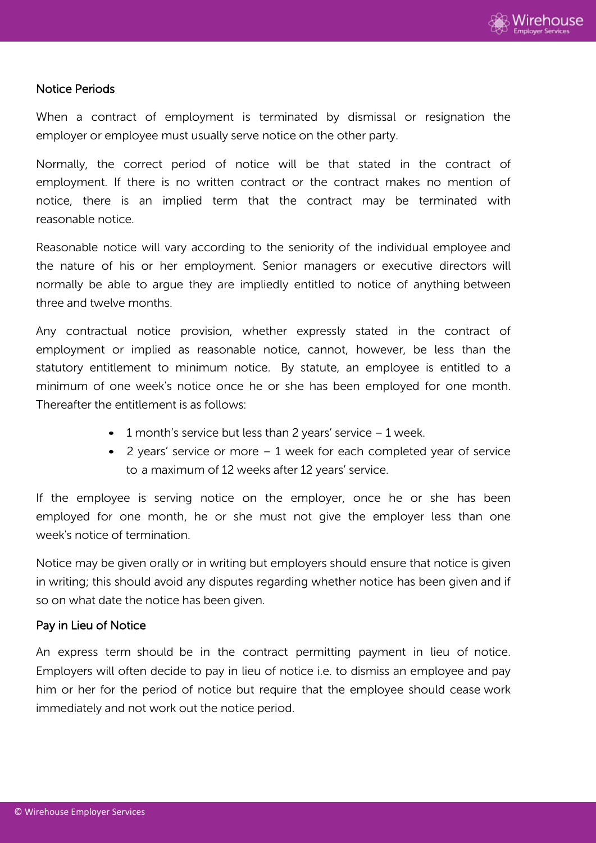

#### Notice Periods

When a contract of employment is terminated by dismissal or resignation the employer or employee must usually serve notice on the other party.

Normally, the correct period of notice will be that stated in the contract of employment. If there is no written contract or the contract makes no mention of notice, there is an implied term that the contract may be terminated with reasonable notice.

Reasonable notice will vary according to the seniority of the individual employee and the nature of his or her employment. Senior managers or executive directors will normally be able to argue they are impliedly entitled to notice of anything between three and twelve months.

Any contractual notice provision, whether expressly stated in the contract of employment or implied as reasonable notice, cannot, however, be less than the statutory entitlement to minimum notice. By statute, an employee is entitled to a minimum of one week's notice once he or she has been employed for one month. Thereafter the entitlement is as follows:

- $\bullet$  1 month's service but less than 2 years' service  $-1$  week.
- 2 years' service or more 1 week for each completed year of service to a maximum of 12 weeks after 12 years' service.

If the employee is serving notice on the employer, once he or she has been employed for one month, he or she must not give the employer less than one week's notice of termination.

Notice may be given orally or in writing but employers should ensure that notice is given in writing; this should avoid any disputes regarding whether notice has been given and if so on what date the notice has been given.

#### Pay in Lieu of Notice

An express term should be in the contract permitting payment in lieu of notice. Employers will often decide to pay in lieu of notice i.e. to dismiss an employee and pay him or her for the period of notice but require that the employee should cease work immediately and not work out the notice period.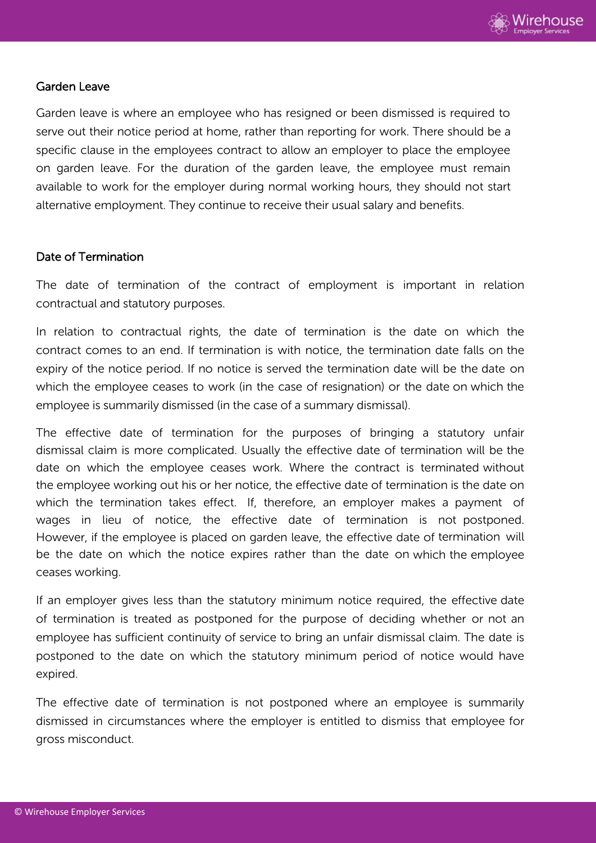

#### Garden Leave

Garden leave is where an employee who has resigned or been dismissed is required to serve out their notice period at home, rather than reporting for work. There should be a specific clause in the employees contract to allow an employer to place the employee on garden leave. For the duration of the garden leave, the employee must remain available to work for the employer during normal working hours, they should not start alternative employment. They continue to receive their usual salary and benefits.

#### Date of Termination

The date of termination of the contract of employment is important in relation contractual and statutory purposes.

In relation to contractual rights, the date of termination is the date on which the contract comes to an end. If termination is with notice, the termination date falls on the expiry of the notice period. If no notice is served the termination date will be the date on which the employee ceases to work (in the case of resignation) or the date on which the employee is summarily dismissed (in the case of a summary dismissal).

The effective date of termination for the purposes of bringing a statutory unfair dismissal claim is more complicated. Usually the effective date of termination will be the date on which the employee ceases work. Where the contract is terminated without the employee working out his or her notice, the effective date of termination is the date on which the termination takes effect. If, therefore, an employer makes a payment of wages in lieu of notice, the effective date of termination is not postponed. However, if the employee is placed on garden leave, the effective date of termination will be the date on which the notice expires rather than the date on which the employee ceases working.

If an employer gives less than the statutory minimum notice required, the effective date of termination is treated as postponed for the purpose of deciding whether or not an employee has sufficient continuity of service to bring an unfair dismissal claim. The date is postponed to the date on which the statutory minimum period of notice would have expired.

The effective date of termination is not postponed where an employee is summarily dismissed in circumstances where the employer is entitled to dismiss that employee for gross misconduct.